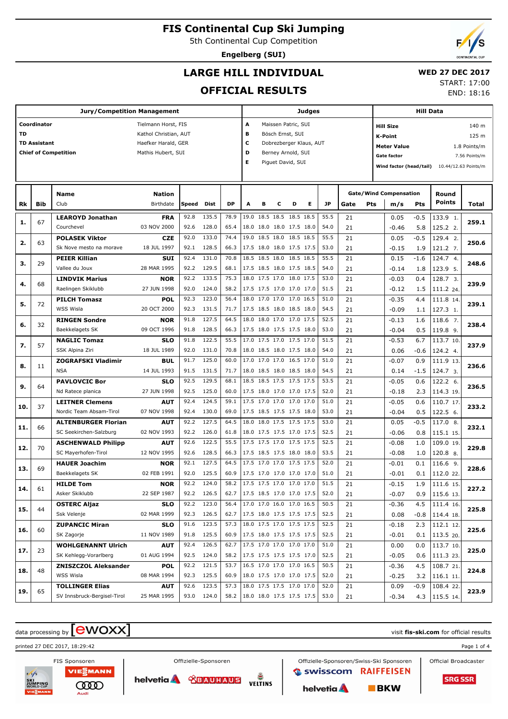5th Continental Cup Competition

**Engelberg (SUI)**

## **LARGE HILL INDIVIDUAL**

#### **WED 27 DEC 2017** START: 17:00

**OFFICIAL RESULTS**

| <b>Jury/Competition Management</b> |                     |                                                    |                           |              |                          |              |                          |                | Judges                                               |           |   |              |             |                                     |                               | Hill Data |                      |       |  |
|------------------------------------|---------------------|----------------------------------------------------|---------------------------|--------------|--------------------------|--------------|--------------------------|----------------|------------------------------------------------------|-----------|---|--------------|-------------|-------------------------------------|-------------------------------|-----------|----------------------|-------|--|
|                                    | Coordinator         |                                                    | Tielmann Horst, FIS       |              |                          |              | A                        |                | Maissen Patric, SUI                                  |           |   |              |             |                                     | <b>Hill Size</b>              |           |                      | 140 m |  |
| <b>TD</b>                          |                     |                                                    | Kathol Christian, AUT     |              |                          |              | в                        |                | Bösch Ernst, SUI                                     |           |   |              |             |                                     | <b>K-Point</b>                |           |                      | 125 m |  |
|                                    | <b>TD Assistant</b> |                                                    | Haefker Harald, GER       |              |                          |              | c                        |                | Dobrezberger Klaus, AUT                              |           |   |              |             | <b>Meter Value</b><br>1.8 Points/m  |                               |           |                      |       |  |
|                                    |                     | <b>Chief of Competition</b>                        | Mathis Hubert, SUI        |              |                          |              | D                        |                | Berney Arnold, SUI                                   |           |   |              |             | <b>Gate factor</b><br>7.56 Points/m |                               |           |                      |       |  |
|                                    |                     |                                                    |                           |              |                          |              | Е                        |                | Piguet David, SUI                                    |           |   |              |             |                                     | Wind factor (head/tail)       |           | 10.44/12.63 Points/m |       |  |
|                                    |                     |                                                    |                           |              |                          |              |                          |                |                                                      |           |   |              |             |                                     |                               |           |                      |       |  |
|                                    |                     |                                                    |                           |              |                          |              |                          |                |                                                      |           |   |              |             |                                     |                               |           |                      |       |  |
|                                    |                     | <b>Name</b>                                        | <b>Nation</b>             |              |                          |              |                          |                |                                                      |           |   |              |             |                                     | <b>Gate/Wind Compensation</b> |           | Round                |       |  |
| Rk                                 | Bib                 | Club                                               | Birthdate                 | Speed        | Dist                     | DP           | A                        | в              | с                                                    | D         | Е | JP           | Gate<br>Pts |                                     | m/s                           | Pts       | <b>Points</b>        | Total |  |
| 1.                                 | 67                  | <b>LEAROYD Jonathan</b>                            | <b>FRA</b>                | 92.8         | 135.5                    | 78.9         |                          | 19.0 18.5 18.5 |                                                      | 18.5 18.5 |   | 55.5         | 21          |                                     | 0.05                          | $-0.5$    | 133.9 1.             | 259.1 |  |
|                                    |                     | Courchevel                                         | 03 NOV 2000               | 92.6         | 128.0                    | 65.4         |                          |                | 18.0 18.0 18.0 17.5 18.0                             |           |   | 54.0         | 21          |                                     | $-0.46$                       | 5.8       | 125.2 2.             |       |  |
| 2.                                 | 63                  | <b>POLASEK Viktor</b>                              | <b>CZE</b>                | 92.0         | 133.0                    | 74.4         |                          |                | 19.0 18.5 18.0 18.5 18.5                             |           |   | 55.5         | 21          |                                     | 0.05                          | $-0.5$    | 129.4 2.             | 250.6 |  |
|                                    |                     | Sk Nove mesto na morave                            | 18 JUL 1997               | 92.1         | 128.5                    | 66.3         |                          |                | 17.5 18.0 18.0 17.5 17.5                             |           |   | 53.0         | 21          |                                     | $-0.15$                       | 1.9       | 121.2 7.             |       |  |
| з.                                 | 29                  | <b>PEIER Killian</b>                               | <b>SUI</b>                | 92.4         | 131.0                    | 70.8         |                          |                | 18.5 18.5 18.0 18.5 18.5                             |           |   | 55.5         | 21          |                                     | 0.15                          | $-1.6$    | 124.7 4.             | 248.6 |  |
|                                    |                     | Vallee du Joux                                     | 28 MAR 1995               | 92.2         | 129.5                    | 68.1         |                          |                | 17.5 18.5 18.0 17.5 18.5                             |           |   | 54.0         | 21          |                                     | $-0.14$                       | 1.8       | 123.9 5.             |       |  |
| 4.                                 | 68                  | <b>LINDVIK Marius</b>                              | <b>NOR</b>                | 92.2         | 133.5                    | 75.3         |                          |                | 18.0 17.5 17.0 18.0 17.5                             |           |   | 53.0         | 21          |                                     | $-0.03$                       | 0.4       | 128.7 3.             | 239.9 |  |
|                                    |                     | Raelingen Skiklubb                                 | 27 JUN 1998               | 92.0         | 124.0                    | 58.2         |                          |                | 17.5 17.5 17.0 17.0 17.0                             |           |   | 51.5         | 21          |                                     | $-0.12$                       | 1.5       | 111.2 24.            |       |  |
| 5.                                 | 72                  | <b>PILCH Tomasz</b>                                | <b>POL</b>                | 92.3         | 123.0                    | 56.4         |                          |                | 18.0 17.0 17.0 17.0 16.5                             |           |   | 51.0         | 21          |                                     | $-0.35$                       | 4.4       | 111.8 14.            | 239.1 |  |
|                                    |                     | WSS Wisla                                          | 20 OCT 2000               | 92.3         | 131.5                    | 71.7         |                          |                | 17.5 18.5 18.0 18.5 18.0                             |           |   | 54.5         | 21          |                                     | $-0.09$                       | 1.1       | 127.3 1.             |       |  |
| 6.                                 | 32                  | <b>RINGEN Sondre</b>                               | <b>NOR</b>                | 91.8         | 127.5                    | 64.5         |                          |                | 18.0 18.0 17.0 17.0 17.5                             |           |   | 52.5         | 21          |                                     | $-0.13$                       | 1.6       | 118.6 7.             | 238.4 |  |
|                                    |                     | Baekkelagets SK                                    | 09 OCT 1996               | 91.8         | 128.5                    | 66.3         |                          |                | 17.5 18.0 17.5 17.5 18.0                             |           |   | 53.0         | 21          |                                     | $-0.04$                       | 0.5       | 119.8 9.             |       |  |
| 7.                                 | 57                  | <b>NAGLIC Tomaz</b>                                | <b>SLO</b>                | 91.8         | 122.5                    | 55.5         |                          |                | 17.0 17.5 17.0 17.5 17.0                             |           |   | 51.5         | 21          |                                     | $-0.53$                       | 6.7       | 113.7 10.            | 237.9 |  |
|                                    |                     | SSK Alpina Ziri                                    | 18 JUL 1989               | 92.0         | 131.0                    | 70.8         |                          |                | 18.0 18.5 18.0 17.5 18.0                             |           |   | 54.0         | 21          |                                     | 0.06                          | -0.6      | 124.2 4.             |       |  |
| 8.                                 | 11                  | <b>ZOGRAFSKI Vladimir</b>                          | <b>BUL</b>                | 91.7         | 125.0                    | 60.0         |                          |                | 17.0 17.0 17.0 16.5 17.0                             |           |   | 51.0         | 21          |                                     | $-0.07$                       | 0.9       | 111.9 13.            | 236.6 |  |
|                                    |                     | <b>NSA</b>                                         | 14 JUL 1993               | 91.5         | 131.5                    | 71.7         |                          |                | 18.0 18.5 18.0 18.5 18.0                             |           |   | 54.5         | 21          |                                     | 0.14                          | $-1.5$    | 124.7 3.             |       |  |
| 9.                                 | 64                  | <b>PAVLOVCIC Bor</b>                               | <b>SLO</b>                | 92.5         | 129.5                    | 68.1         |                          |                | 18.5 18.5 17.5 17.5 17.5                             |           |   | 53.5         | 21          |                                     | $-0.05$                       | 0.6       | 122.2 6.             | 236.5 |  |
|                                    |                     | Nd Ratece planica                                  | 27 JUN 1998               | 92.5         | 125.0                    | 60.0         |                          |                | 17.5 18.0 17.0 17.0 17.5                             |           |   | 52.0         | 21          |                                     | $-0.18$                       | 2.3       | 114.3 19.            |       |  |
| 10.                                | 37                  | <b>LEITNER Clemens</b>                             | <b>AUT</b>                | 92.4         | 124.5                    | 59.1         |                          |                | 17.5 17.0 17.0 17.0 17.0                             |           |   | 51.0         | 21          |                                     | $-0.05$                       | 0.6       | 110.7 17             | 233.2 |  |
|                                    |                     | Nordic Team Absam-Tirol                            | 07 NOV 1998               | 92.4         | 130.0                    | 69.0         |                          |                | 17.5 18.5 17.5 17.5 18.0                             |           |   | 53.0         | 21          |                                     | $-0.04$                       | 0.5       | 122.5 6.             |       |  |
| 11.                                | 66                  | <b>ALTENBURGER Florian</b>                         | <b>AUT</b>                | 92.2         | 127.5                    | 64.5         |                          |                | 18.0 18.0 17.5 17.5 17.5                             |           |   | 53.0         | 21          |                                     | 0.05                          | $-0.5$    | $117.0$ 8.           | 232.1 |  |
|                                    |                     | SC Seekirchen-Salzburg                             | 02 NOV 1993               | 92.2         | 126.0                    | 61.8         |                          |                | 18.0 17.5 17.5 17.0 17.5                             |           |   | 52.5         | 21          |                                     | $-0.06$                       | 0.8       | 115.1 15.            |       |  |
| 12.                                | 70                  | <b>ASCHENWALD Philipp</b>                          | AUT                       | 92.6         | 122.5                    | 55.5         |                          |                | 17.5 17.5 17.0 17.5 17.5                             |           |   | 52.5         | 21          |                                     | $-0.08$                       | 1.0       | 109.0 19.            | 229.8 |  |
|                                    |                     | SC Mayerhofen-Tirol                                | 12 NOV 1995               | 92.6         | 128.5                    | 66.3         |                          |                | 17.5 18.5 17.5 18.0 18.0                             |           |   | 53.5         | 21          |                                     | $-0.08$                       | 1.0       | 120.8 8.             |       |  |
| 13.                                | 69                  | <b>HAUER Joachim</b>                               | <b>NOR</b>                | 92.1         | 127.5                    | 64.5         |                          |                | 17.5 17.0 17.0 17.5 17.5                             |           |   | 52.0         | 21          |                                     | $-0.01$                       | 0.1       | $116.6$ 9.           | 228.6 |  |
|                                    |                     | Baekkelagets SK                                    | 02 FEB 1991               | 92.0<br>92.2 | 125.5<br>124.0           | 60.9<br>58.2 |                          |                | 17.5 17.0 17.0 17.0 17.0<br>17.5 17.5 17.0 17.0 17.0 |           |   | 51.0<br>51.5 | 21<br>21    |                                     | $-0.01$                       | 0.1       | 112.0 22.            |       |  |
| 14.                                | 61                  | <b>HILDE Tom</b>                                   | <b>NOR</b>                |              |                          |              | 17.5 18.5 17.0 17.0 17.5 |                |                                                      |           |   |              |             |                                     | $-0.15$                       | 1.9       | $\sqrt{111.6}$ 15.   | 227.2 |  |
|                                    |                     | Asker Skiklubb                                     | 22 SEP 1987               |              | 92.2 126.5<br>92.2 123.0 | 62.7<br>56.4 | 17.0 17.0 16.0 17.0 16.5 |                |                                                      |           |   | 52.0         | 21          |                                     | $-0.07$                       |           | $0.9$   115.6 13.    |       |  |
| 15.                                | 44                  | <b>OSTERC Aljaz</b><br>Ssk Velenje                 | <b>SLO</b><br>02 MAR 1999 |              | 92.3 126.5               | 62.7         | 17.5 18.0 17.5 17.5 17.5 |                |                                                      |           |   | 50.5         | 21          |                                     | $-0.36$                       | 4.5       | $\sqrt{111.4}$ 16.   | 225.8 |  |
|                                    |                     |                                                    |                           |              | 91.6 123.5               | 57.3         | 18.0 17.5 17.0 17.5 17.5 |                |                                                      |           |   | 52.5<br>52.5 | 21          |                                     | 0.08                          |           | $-0.8$   114.4 18.   |       |  |
| 16.                                | 60                  | <b>ZUPANCIC Miran</b>                              | <b>SLO</b>                |              | 91.8 125.5               | 60.9         | 17.5 18.0 17.5 17.5 17.5 |                |                                                      |           |   | 52.5         | 21          |                                     | $-0.18$                       | 2.3       | $112.1$ 12.          | 225.6 |  |
|                                    |                     | SK Zagorje                                         | 11 NOV 1989               |              | 92.4 126.5               | 62.7         | 17.5 17.0 17.0 17.0 17.0 |                |                                                      |           |   | 51.0         | 21          |                                     | $-0.01$                       |           | $0.1$   113.5 20.    |       |  |
| 17.                                | 23                  | <b>WOHLGENANNT Ulrich</b><br>SK Kehlegg-Vorarlberg | <b>AUT</b><br>01 AUG 1994 |              | 92.5 124.0               | 58.2         | 17.5 17.5 17.5 17.5 17.0 |                |                                                      |           |   | 52.5         | 21          |                                     | 0.00                          | 0.0       | 113.7 10.            | 225.0 |  |
|                                    |                     |                                                    |                           |              | 92.2 121.5               | 53.7         |                          |                | 16.5 17.0 17.0 17.0 16.5                             |           |   | 50.5         | 21          |                                     | $-0.05$                       |           | $0.6$   111.3 23.    |       |  |
| 18.                                | 48                  | <b>ZNISZCZOL Aleksander</b><br>WSS Wisla           | <b>POL</b><br>08 MAR 1994 |              | 92.3 125.5               | 60.9         |                          |                | 18.0 17.5 17.0 17.0 17.5                             |           |   | 52.0         | 21          |                                     | $-0.36$                       | 4.5       | 108.721              | 224.8 |  |
|                                    |                     | <b>TOLLINGER Elias</b>                             |                           | 92.6         | 123.5                    | 57.3         |                          |                | 18.0 17.5 17.5 17.0 17.0                             |           |   | 52.0         | 21          |                                     | $-0.25$                       |           | $3.2$   116.1 11.    |       |  |
| 19.                                | 65                  | SV Innsbruck-Bergisel-Tirol                        | <b>AUT</b><br>25 MAR 1995 |              | 93.0 124.0               | 58.2         | 18.0 18.0 17.5 17.5 17.5 |                |                                                      |           |   | 53.0         | 21          |                                     | 0.09                          | $-0.9$    | 108.4 22.            | 223.9 |  |
|                                    |                     |                                                    |                           |              |                          |              |                          |                |                                                      |           |   |              | 21          |                                     | $-0.34$                       |           | 4.3 115.5 14.        |       |  |

# $\alpha$  data processing by  $\boxed{\text{ewOX}}$

printed 27 DEC 2017, 18:29:42 Page 1 of 4



VIESMANN **COOD** Aud

Offizielle-Sponsoren

**DELTINS** helvetia & CBAUHAUS

**C**swisscom RAIFFEISEN

Offizielle-Sponsoren/Swiss-Ski Sponsoren

 $B$ <sub>BKW</sub>

Official Broadcaster



helvetia A



END: 18:16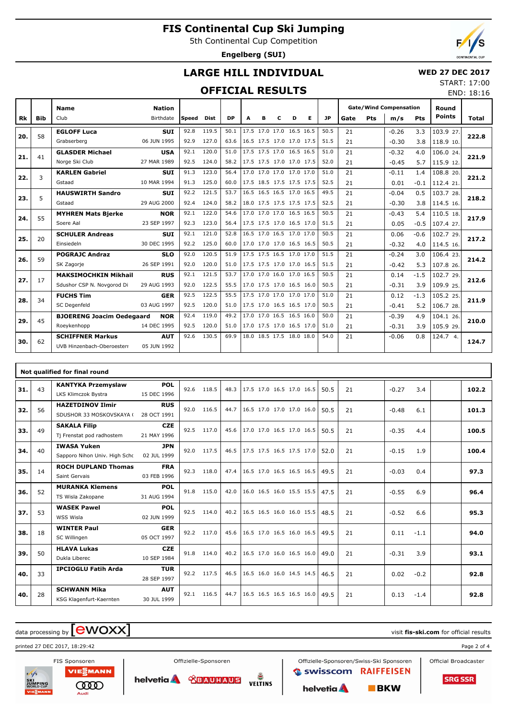5th Continental Cup Competition

**Engelberg (SUI)**

END: 18:16

### **LARGE HILL INDIVIDUAL**

#### **WED 27 DEC 2017** START: 17:00

### **OFFICIAL RESULTS**

|     |            | <b>Name</b>                      | <b>Nation</b> |       |       |           |                          |   |   |                          |   |      |      |     | <b>Gate/Wind Compensation</b> |            | Round         |       |
|-----|------------|----------------------------------|---------------|-------|-------|-----------|--------------------------|---|---|--------------------------|---|------|------|-----|-------------------------------|------------|---------------|-------|
| Rk  | <b>Bib</b> | Club                             | Birthdate     | Speed | Dist  | <b>DP</b> | A                        | в | C | D                        | Е | JP.  | Gate | Pts | m/s                           | <b>Pts</b> | <b>Points</b> | Total |
|     | 58         | <b>EGLOFF Luca</b>               | <b>SUI</b>    | 92.8  | 119.5 | 50.1      | 17.5 17.0 17.0 16.5 16.5 |   |   |                          |   | 50.5 | 21   |     | $-0.26$                       | 3.3        | 103.9 27.     |       |
| 20. |            | Grabserberg                      | 06 JUN 1995   | 92.9  | 127.0 | 63.6      | 16.5 17.5 17.0 17.0 17.5 |   |   |                          |   | 51.5 | 21   |     | $-0.30$                       | 3.8        | 118.9 10.     | 222.8 |
| 21. | 41         | <b>GLASDER Michael</b>           | <b>USA</b>    | 92.1  | 120.0 | 51.0      | 17.5 17.5 17.0 16.5 16.5 |   |   |                          |   | 51.0 | 21   |     | $-0.32$                       | 4.0        | 106.0 24.     | 221.9 |
|     |            | Norge Ski Club                   | 27 MAR 1989   | 92.5  | 124.0 | 58.2      | 17.5 17.5 17.0 17.0 17.5 |   |   |                          |   | 52.0 | 21   |     | $-0.45$                       | 5.7        | 115.9 12.     |       |
| 22. | 3          | <b>KARLEN Gabriel</b>            | <b>SUI</b>    | 91.3  | 123.0 | 56.4      | 17.0 17.0 17.0 17.0 17.0 |   |   |                          |   | 51.0 | 21   |     | $-0.11$                       | 1.4        | 108.8 20.     | 221.2 |
|     |            | Gstaad                           | 10 MAR 1994   | 91.3  | 125.0 | 60.0      | 17.5 18.5 17.5 17.5 17.5 |   |   |                          |   | 52.5 | 21   |     | 0.01                          | $-0.1$     | 112.4 21.     |       |
| 23. | 5          | <b>HAUSWIRTH Sandro</b>          | <b>SUI</b>    | 92.2  | 121.5 | 53.7      |                          |   |   | 16.5 16.5 16.5 17.0 16.5 |   | 49.5 | 21   |     | $-0.04$                       | 0.5        | 103.7 28.     | 218.2 |
|     |            | Gstaad                           | 29 AUG 2000   | 92.4  | 124.0 | 58.2      |                          |   |   | 18.0 17.5 17.5 17.5 17.5 |   | 52.5 | 21   |     | $-0.30$                       | 3.8        | 114.5 16.     |       |
| 24. | 55         | <b>MYHREN Mats Bjerke</b>        | <b>NOR</b>    | 92.1  | 122.0 | 54.6      |                          |   |   | 17.0 17.0 17.0 16.5 16.5 |   | 50.5 | 21   |     | $-0.43$                       | 5.4        | 110.5 18.     | 217.9 |
|     |            | Soere Aal                        | 23 SEP 1997   | 92.3  | 123.0 | 56.4      | 17.5 17.5 17.0 16.5 17.0 |   |   |                          |   | 51.5 | 21   |     | 0.05                          | $-0.5$     | 107.4 27.     |       |
| 25. | 20         | <b>SCHULER Andreas</b>           | <b>SUI</b>    | 92.1  | 121.0 | 52.8      |                          |   |   | 16.5 17.0 16.5 17.0 17.0 |   | 50.5 | 21   |     | 0.06                          | $-0.6$     | 102.7 29.     | 217.2 |
|     |            | Einsiedeln                       | 30 DEC 1995   | 92.2  | 125.0 | 60.0      | 17.0 17.0 17.0 16.5 16.5 |   |   |                          |   | 50.5 | 21   |     | $-0.32$                       | 4.0        | 114.5 16.     |       |
| 26. | 59         | <b>POGRAJC Andraz</b>            | <b>SLO</b>    | 92.0  | 120.5 | 51.9      | 17.5 17.5 16.5 17.0 17.0 |   |   |                          |   | 51.5 | 21   |     | $-0.24$                       | 3.0        | 106.4 23.     | 214.2 |
|     |            | SK Zagorje                       | 26 SEP 1991   | 92.0  | 120.0 | 51.0      | 17.5 17.5 17.0 17.0 16.5 |   |   |                          |   | 51.5 | 21   |     | $-0.42$                       | 5.3        | 107.8 26.     |       |
| 27. | 17         | <b>MAKSIMOCHKIN Mikhail</b>      | <b>RUS</b>    | 92.1  | 121.5 | 53.7      |                          |   |   | 17.0 17.0 16.0 17.0 16.5 |   | 50.5 | 21   |     | 0.14                          | $-1.5$     | 102.7 29.     | 212.6 |
|     |            | Sdushor CSP N. Novgorod Di       | 29 AUG 1993   | 92.0  | 122.5 | 55.5      | 17.0 17.5 17.0 16.5 16.0 |   |   |                          |   | 50.5 | 21   |     | $-0.31$                       | 3.9        | 109.9 25.     |       |
| 28. | 34         | <b>FUCHS Tim</b>                 | <b>GER</b>    | 92.5  | 122.5 | 55.5      | 17.5 17.0 17.0 17.0 17.0 |   |   |                          |   | 51.0 | 21   |     | 0.12                          | $-1.3$     | 105.2 25.     | 211.9 |
|     |            | SC Degenfeld                     | 03 AUG 1997   | 92.5  | 120.0 | 51.0      | 17.5 17.0 16.5 16.5 17.0 |   |   |                          |   | 50.5 | 21   |     | $-0.41$                       | 5.2        | 106.7 28.     |       |
| 29. | 45         | <b>BJOERENG Joacim Oedegaard</b> | <b>NOR</b>    | 92.4  | 119.0 | 49.2      |                          |   |   | 17.0 17.0 16.5 16.5 16.0 |   | 50.0 | 21   |     | $-0.39$                       | 4.9        | 104.1 26.     | 210.0 |
|     |            | Roeykenhopp                      | 14 DEC 1995   | 92.5  | 120.0 | 51.0      | 17.0 17.5 17.0 16.5 17.0 |   |   |                          |   | 51.0 | 21   |     | $-0.31$                       | 3.9        | 105.9 29.     |       |
| 30. | 62         | <b>SCHIFFNER Markus</b>          | <b>AUT</b>    | 92.6  | 130.5 | 69.9      |                          |   |   | 18.0 18.5 17.5 18.0 18.0 |   | 54.0 | 21   |     | $-0.06$                       | 0.8        | 124.7 4.      | 124.7 |
|     |            | UVB Hinzenbach-Oberoesterr       | 05 JUN 1992   |       |       |           |                          |   |   |                          |   |      |      |     |                               |            |               |       |

|     | Not qualified for final round |                               |             |      |       |      |                          |  |  |      |    |         |        |       |
|-----|-------------------------------|-------------------------------|-------------|------|-------|------|--------------------------|--|--|------|----|---------|--------|-------|
| 31. | 43                            | <b>KANTYKA Przemyslaw</b>     | <b>POL</b>  | 92.6 | 118.5 | 48.3 | 17.5 17.0 16.5 17.0 16.5 |  |  | 50.5 | 21 | $-0.27$ | 3.4    | 102.2 |
|     |                               | LKS Klimczok Bystra           | 15 DEC 1996 |      |       |      |                          |  |  |      |    |         |        |       |
| 32. | 56                            | <b>HAZETDINOV Ilmir</b>       | <b>RUS</b>  | 92.0 | 116.5 | 44.7 | 16.5 17.0 17.0 17.0 16.0 |  |  | 50.5 | 21 | $-0.48$ | 6.1    | 101.3 |
|     |                               | SDUSHOR 33 MOSKOVSKAYA (      | 28 OCT 1991 |      |       |      |                          |  |  |      |    |         |        |       |
| 33. | 49                            | <b>SAKALA Filip</b>           | <b>CZE</b>  | 92.5 | 117.0 | 45.6 | 17.0 17.0 16.5 17.0 16.5 |  |  | 50.5 | 21 | $-0.35$ | 4.4    | 100.5 |
|     |                               | Tj Frenstat pod radhostem     | 21 MAY 1996 |      |       |      |                          |  |  |      |    |         |        |       |
| 34. | 40                            | <b>IWASA Yuken</b>            | <b>JPN</b>  | 92.0 | 117.5 | 46.5 | 17.5 17.5 16.5 17.5 17.0 |  |  | 52.0 | 21 | $-0.15$ | 1.9    | 100.4 |
|     |                               | Sapporo Nihon Univ. High Schc | 02 JUL 1999 |      |       |      |                          |  |  |      |    |         |        |       |
| 35. | 14                            | <b>ROCH DUPLAND Thomas</b>    | <b>FRA</b>  | 92.3 | 118.0 | 47.4 | 16.5 17.0 16.5 16.5 16.5 |  |  | 49.5 | 21 | $-0.03$ | 0.4    | 97.3  |
|     |                               | Saint Gervais                 | 03 FEB 1996 |      |       |      |                          |  |  |      |    |         |        |       |
| 36. | 52                            | <b>MURANKA Klemens</b>        | <b>POL</b>  | 91.8 | 115.0 | 42.0 | 16.0 16.5 16.0 15.5 15.5 |  |  | 47.5 | 21 | $-0.55$ | 6.9    | 96.4  |
|     |                               | TS Wisla Zakopane             | 31 AUG 1994 |      |       |      |                          |  |  |      |    |         |        |       |
| 37. | 53                            | <b>WASEK Pawel</b>            | <b>POL</b>  | 92.5 | 114.0 | 40.2 | 16.5 16.5 16.0 16.0 15.5 |  |  | 48.5 | 21 | $-0.52$ | 6.6    | 95.3  |
|     |                               | WSS Wisla                     | 02 JUN 1999 |      |       |      |                          |  |  |      |    |         |        |       |
| 38. | 18                            | <b>WINTER Paul</b>            | <b>GER</b>  | 92.2 | 117.0 | 45.6 | 16.5 17.0 16.5 16.0 16.5 |  |  | 49.5 | 21 | 0.11    | $-1.1$ | 94.0  |
|     |                               | SC Willingen                  | 05 OCT 1997 |      |       |      |                          |  |  |      |    |         |        |       |
| 39. | 50                            | <b>HLAVA Lukas</b>            | <b>CZE</b>  | 91.8 | 114.0 | 40.2 | 16.5 17.0 16.0 16.5 16.0 |  |  | 49.0 | 21 | $-0.31$ | 3.9    | 93.1  |
|     |                               | Dukla Liberec                 | 10 SEP 1984 |      |       |      |                          |  |  |      |    |         |        |       |
| 40. | 33                            | <b>IPCIOGLU Fatih Arda</b>    | <b>TUR</b>  | 92.2 | 117.5 | 46.5 | 16.5 16.0 16.0 14.5 14.5 |  |  | 46.5 | 21 | 0.02    | $-0.2$ | 92.8  |
|     |                               |                               | 28 SEP 1997 |      |       |      |                          |  |  |      |    |         |        |       |
| 40. | 28                            | <b>SCHWANN Mika</b>           | <b>AUT</b>  | 92.1 | 116.5 | 44.7 | 16.5 16.5 16.5 16.5 16.0 |  |  | 49.5 | 21 | 0.13    | $-1.4$ | 92.8  |
|     |                               | KSG Klagenfurt-Kaernten       | 30 JUL 1999 |      |       |      |                          |  |  |      |    |         |        |       |

# $\alpha$  data processing by  $\boxed{\text{ewOX}}$

printed 27 DEC 2017, 18:29:42 Page 2 of 4



VIESMANN **COOD** 

Offizielle-Sponsoren helvetia & CBAUHAUS

Offizielle-Sponsoren/Swiss-Ski Sponsoren **C**swisscom RAIFFEISEN **DELTINS** 

helvetia A

 $B$ <sub>KW</sub>

Official Broadcaster

**SRG SSR**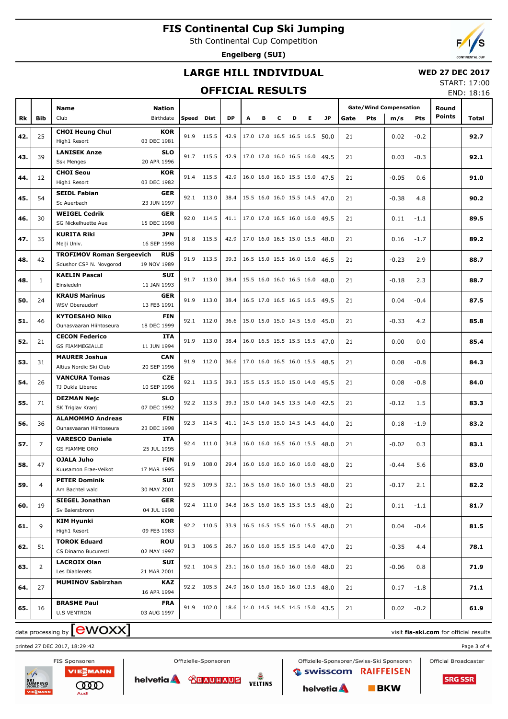5th Continental Cup Competition

**Engelberg (SUI)**



#### **LARGE HILL INDIVIDUAL**

#### **WED 27 DEC 2017**

#### **OFFICIAL RESULTS**

START: 17:00 END: 18:16

|     |              | Name                                           | <b>Nation</b>             |            |            |           |   |   |   |                          |   |                                        | <b>Gate/Wind Compensation</b> |            | Round   |        |               |       |
|-----|--------------|------------------------------------------------|---------------------------|------------|------------|-----------|---|---|---|--------------------------|---|----------------------------------------|-------------------------------|------------|---------|--------|---------------|-------|
| Rk  | Bib          | Club                                           | Birthdate                 | Speed Dist |            | <b>DP</b> | A | в | с | D                        | Е | JP                                     | Gate                          | <b>Pts</b> | m/s     | Pts    | <b>Points</b> | Total |
|     |              | <b>CHOI Heung Chul</b>                         | <b>KOR</b>                |            |            |           |   |   |   |                          |   |                                        |                               |            |         |        |               |       |
| 42. | 25           | High1 Resort                                   | 03 DEC 1981               |            | 91.9 115.5 | 42.9      |   |   |   | 17.0 17.0 16.5 16.5 16.5 |   | 50.0                                   | 21                            |            | 0.02    | $-0.2$ |               | 92.7  |
|     |              | <b>LANISEK Anze</b>                            | <b>SLO</b>                |            |            |           |   |   |   |                          |   |                                        |                               |            |         |        |               |       |
| 43. | 39           | <b>Ssk Menges</b>                              | 20 APR 1996               |            | 91.7 115.5 | 42.9      |   |   |   | 17.0 17.0 16.0 16.5 16.0 |   | 49.5                                   | 21                            |            | 0.03    | $-0.3$ |               | 92.1  |
|     |              | <b>CHOI Seou</b>                               | <b>KOR</b>                |            | 91.4 115.5 |           |   |   |   | 16.0 16.0 16.0 15.5 15.0 |   |                                        |                               |            |         |        |               |       |
| 44. | 12           | High1 Resort                                   | 03 DEC 1982               |            |            | 42.9      |   |   |   |                          |   | 47.5                                   | 21                            |            | $-0.05$ | 0.6    |               | 91.0  |
| 45. | 54           | <b>SEIDL Fabian</b>                            | GER                       |            | 92.1 113.0 | 38.4      |   |   |   | 15.5 16.0 16.0 15.5 14.5 |   | 47.0                                   | 21                            |            | $-0.38$ | 4.8    |               | 90.2  |
|     |              | Sc Auerbach                                    | 23 JUN 1997               |            |            |           |   |   |   |                          |   |                                        |                               |            |         |        |               |       |
| 46. | 30           | <b>WEIGEL Cedrik</b>                           | <b>GER</b>                |            | 92.0 114.5 | 41.1      |   |   |   | 17.0 17.0 16.5 16.0 16.0 |   | 49.5                                   | 21                            |            | 0.11    | $-1.1$ |               | 89.5  |
|     |              | SG Nickelhuette Aue                            | 15 DEC 1998               |            |            |           |   |   |   |                          |   |                                        |                               |            |         |        |               |       |
| 47. | 35           | <b>KURITA Riki</b><br>Meiji Univ.              | JPN<br>16 SEP 1998        |            | 91.8 115.5 | 42.9      |   |   |   | 17.0 16.0 16.5 15.0 15.5 |   | 48.0                                   | 21                            |            | 0.16    | $-1.7$ |               | 89.2  |
|     |              | <b>TROFIMOV Roman Sergeevich</b>               | <b>RUS</b>                |            |            |           |   |   |   |                          |   |                                        |                               |            |         |        |               |       |
| 48. | 42           | Sdushor CSP N. Novgorod                        | 19 NOV 1989               |            | 91.9 113.5 | 39.3      |   |   |   | 16.5 15.0 15.5 16.0 15.0 |   | 46.5                                   | 21                            |            | $-0.23$ | 2.9    |               | 88.7  |
|     |              | <b>KAELIN Pascal</b>                           | SUI                       |            |            |           |   |   |   |                          |   |                                        |                               |            |         |        |               |       |
| 48. | $\mathbf{1}$ | Einsiedeln                                     | 11 JAN 1993               |            | 91.7 113.0 | 38.4      |   |   |   | 15.5 16.0 16.0 16.5 16.0 |   | 48.0                                   | 21                            |            | $-0.18$ | 2.3    |               | 88.7  |
| 50. | 24           | <b>KRAUS Marinus</b>                           | <b>GER</b>                |            | 91.9 113.0 | 38.4      |   |   |   | 16.5 17.0 16.5 16.5 16.5 |   | 49.5                                   | 21                            |            | 0.04    | $-0.4$ |               | 87.5  |
|     |              | WSV Oberaudorf                                 | 13 FEB 1991               |            |            |           |   |   |   |                          |   |                                        |                               |            |         |        |               |       |
| 51. | 46           | <b>KYTOESAHO Niko</b>                          | FIN                       |            | 92.1 112.0 | 36.6      |   |   |   | 15.0 15.0 15.0 14.5 15.0 |   | 45.0                                   | 21                            |            | $-0.33$ | 4.2    |               | 85.8  |
|     |              | Ounasvaaran Hiihtoseura                        | 18 DEC 1999               |            |            |           |   |   |   |                          |   |                                        |                               |            |         |        |               |       |
| 52. | 21           | <b>CECON Federico</b>                          | ITA                       |            | 91.9 113.0 | 38.4      |   |   |   | 16.0 16.5 15.5 15.5 15.5 |   | 47.0                                   | 21                            |            | 0.00    | 0.0    |               | 85.4  |
|     |              | <b>GS FIAMMEGIALLE</b>                         | 11 JUN 1994               |            |            |           |   |   |   |                          |   |                                        |                               |            |         |        |               |       |
| 53. | 31           | <b>MAURER Joshua</b><br>Altius Nordic Ski Club | <b>CAN</b><br>20 SEP 1996 |            | 91.9 112.0 | 36.6      |   |   |   | 17.0 16.0 16.5 16.0 15.5 |   | 48.5                                   | 21                            |            | 0.08    | $-0.8$ |               | 84.3  |
|     |              | <b>VANCURA Tomas</b>                           | <b>CZE</b>                |            |            |           |   |   |   |                          |   |                                        |                               |            |         |        |               |       |
| 54. | 26           | TJ Dukla Liberec                               | 10 SEP 1996               |            | 92.1 113.5 | 39.3      |   |   |   | 15.5 15.5 15.0 15.0 14.0 |   | 45.5                                   | 21                            |            | 0.08    | $-0.8$ |               | 84.0  |
|     |              | <b>DEZMAN Nejc</b>                             | <b>SLO</b>                |            |            |           |   |   |   |                          |   |                                        |                               |            |         |        |               |       |
| 55. | 71           | SK Triglav Kranj                               | 07 DEC 1992               |            | 92.2 113.5 | 39.3      |   |   |   | 15.0 14.0 14.5 13.5 14.0 |   | 42.5                                   | 21                            |            | $-0.12$ | 1.5    |               | 83.3  |
| 56. | 36           | <b>ALAMOMMO Andreas</b>                        | <b>FIN</b>                |            | 92.3 114.5 | 41.1      |   |   |   | 14.5 15.0 15.0 14.5 14.5 |   | 44.0                                   | 21                            |            | 0.18    | $-1.9$ |               | 83.2  |
|     |              | Ounasvaaran Hiihtoseura                        | 23 DEC 1998               |            |            |           |   |   |   |                          |   |                                        |                               |            |         |        |               |       |
| 57. | 7            | <b>VARESCO Daniele</b>                         | ITA                       | 92.4       | 111.0      | 34.8      |   |   |   | 16.0 16.0 16.5 16.0 15.5 |   | 48.0                                   | 21                            |            | $-0.02$ | 0.3    |               | 83.1  |
|     |              | <b>GS FIAMME ORO</b>                           | 25 JUL 1995               |            |            |           |   |   |   |                          |   |                                        |                               |            |         |        |               |       |
| 58. | 47           | <b>OJALA Juho</b><br>Kuusamon Erae-Veikot      | FIN<br>17 MAR 1995        | 91.9       | 108.0      | 29.4      |   |   |   | 16.0 16.0 16.0 16.0 16.0 |   | 48.0                                   | 21                            |            | $-0.44$ | 5.6    |               | 83.0  |
|     |              | <b>PETER Dominik</b>                           | SUI                       |            |            |           |   |   |   |                          |   |                                        |                               |            |         |        |               |       |
| 59. | 4            | Am Bachtel wald                                | 30 MAY 2001               |            | 92.5 109.5 |           |   |   |   |                          |   | 32.1   16.5 16.0 16.0 16.0 15.5   48.0 | 21                            |            | $-0.17$ | 2.1    |               | 82.2  |
|     |              | <b>SIEGEL Jonathan</b>                         | <b>GER</b>                |            |            |           |   |   |   |                          |   |                                        |                               |            |         |        |               |       |
| 60. | 19           | Sv Baiersbronn                                 | 04 JUL 1998               |            | 92.4 111.0 | 34.8      |   |   |   |                          |   | 16.5 16.0 16.5 15.5 15.5 48.0          | 21                            |            | 0.11    | $-1.1$ |               | 81.7  |
|     | 9            | KIM Hyunki                                     | KOR                       |            | 92.2 110.5 | 33.9      |   |   |   | 16.5 16.5 15.5 16.0 15.5 |   | 48.0                                   | 21                            |            | 0.04    | $-0.4$ |               | 81.5  |
| 61. |              | High1 Resort                                   | 09 FEB 1983               |            |            |           |   |   |   |                          |   |                                        |                               |            |         |        |               |       |
| 62. | 51           | <b>TOROK Eduard</b>                            | <b>ROU</b>                |            | 91.3 106.5 | 26.7      |   |   |   | 16.0 16.0 15.5 15.5 14.0 |   | 47.0                                   | 21                            |            | $-0.35$ | 4.4    |               | 78.1  |
|     |              | CS Dinamo Bucuresti                            | 02 MAY 1997               |            |            |           |   |   |   |                          |   |                                        |                               |            |         |        |               |       |
| 63. | 2            | <b>LACROIX Olan</b>                            | SUI                       |            | 92.1 104.5 | 23.1      |   |   |   | 16.0 16.0 16.0 16.0 16.0 |   | 48.0                                   | 21                            |            | $-0.06$ | 0.8    |               | 71.9  |
|     |              | Les Diablerets                                 | 21 MAR 2001               |            |            |           |   |   |   |                          |   |                                        |                               |            |         |        |               |       |
| 64. | 27           | <b>MUMINOV Sabirzhan</b>                       | KAZ<br>16 APR 1994        |            | 92.2 105.5 | 24.9      |   |   |   | 16.0 16.0 16.0 16.0 13.5 |   | 48.0                                   | 21                            |            | 0.17    | $-1.8$ |               | 71.1  |
|     |              | <b>BRASME Paul</b>                             | <b>FRA</b>                |            |            |           |   |   |   |                          |   |                                        |                               |            |         |        |               |       |
| 65. | 16           | <b>U.S VENTRON</b>                             | 03 AUG 1997               |            | 91.9 102.0 | 18.6      |   |   |   | 14.0 14.5 14.5 14.5 15.0 |   | 43.5                                   | 21                            |            | 0.02    | $-0.2$ |               | 61.9  |
|     |              |                                                |                           |            |            |           |   |   |   |                          |   |                                        |                               |            |         |        |               |       |

# $\alpha$  data processing by  $\boxed{\text{ewOX}}$

printed 27 DEC 2017, 18:29:42 Page 3 of 4





Offizielle-Sponsoren

**DELTINS** helvetia & CBAUHAUS

Offizielle-Sponsoren/Swiss-Ski Sponsoren **C**swisscom RAIFFEISEN

 $B$ <sub>BKW</sub>

helvetia A

Official Broadcaster

**SRG SSR**